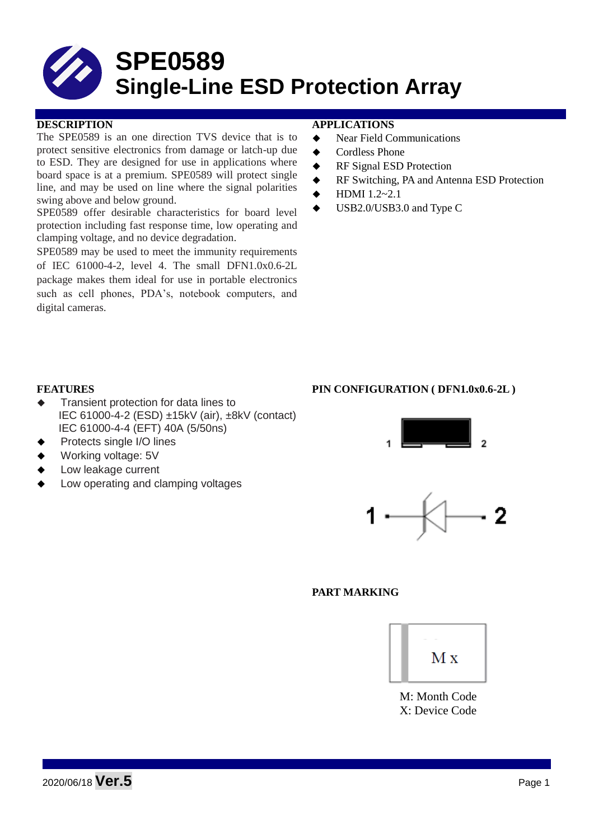# **SPE0589 Single-Line ESD Protection Array**

The SPE0589 is an one direction TVS device that is to protect sensitive electronics from damage or latch-up due to ESD. They are designed for use in applications where board space is at a premium. SPE0589 will protect single line, and may be used on line where the signal polarities swing above and below ground.

SPE0589 offer desirable characteristics for board level protection including fast response time, low operating and clamping voltage, and no device degradation.

SPE0589 may be used to meet the immunity requirements of IEC 61000-4-2, level 4. The small DFN1.0x0.6-2L package makes them ideal for use in portable electronics such as cell phones, PDA's, notebook computers, and digital cameras.

#### **DESCRIPTION APPLICATIONS**

- ◆ Near Field Communications
- ◆ Cordless Phone
- RF Signal ESD Protection
- RF Switching, PA and Antenna ESD Protection
- HDMI 1.2~2.1
- USB2.0/USB3.0 and Type C

#### **FEATURES PIN CONFIGURATION ( DFN1.0x0.6-2L )**

- Transient protection for data lines to IEC 61000-4-2 (ESD) ±15kV (air), ±8kV (contact) IEC 61000-4-4 (EFT) 40A (5/50ns)
- Protects single I/O lines
- Working voltage: 5V
- Low leakage current
- Low operating and clamping voltages





#### **PART MARKING**



M: Month Code X: Device Code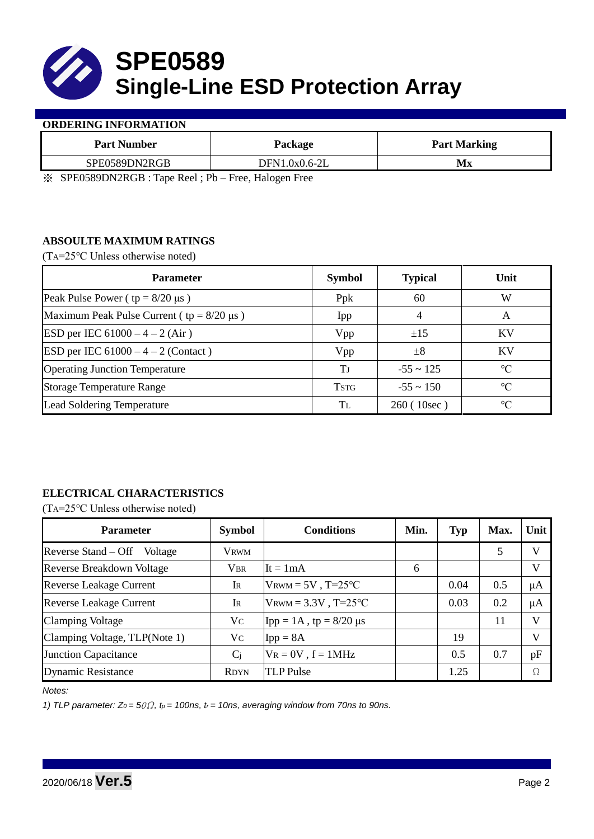

#### **ORDERING INFORMATION**

| <b>Part Number</b>                                                                                                                                                                                                                                                                                                                                                                          | Package       | <b>Part Marking</b> |  |
|---------------------------------------------------------------------------------------------------------------------------------------------------------------------------------------------------------------------------------------------------------------------------------------------------------------------------------------------------------------------------------------------|---------------|---------------------|--|
| SPE0589DN2RGB                                                                                                                                                                                                                                                                                                                                                                               | DFN1.0x0.6-2L | Мx                  |  |
| $\mathcal{L}$ $\mathcal{L}$ $\mathcal{L}$ $\mathcal{L}$ $\mathcal{L}$ $\mathcal{L}$ $\mathcal{L}$ $\mathcal{L}$ $\mathcal{L}$ $\mathcal{L}$ $\mathcal{L}$ $\mathcal{L}$ $\mathcal{L}$ $\mathcal{L}$ $\mathcal{L}$ $\mathcal{L}$ $\mathcal{L}$ $\mathcal{L}$ $\mathcal{L}$ $\mathcal{L}$ $\mathcal{L}$ $\mathcal{L}$ $\mathcal{L}$ $\mathcal{L}$ $\mathcal{$<br>$1 \times 1$<br>$\mathbf{r}$ |               |                     |  |

※ SPE0589DN2RGB : Tape Reel ; Pb – Free, Halogen Free

### **ABSOULTE MAXIMUM RATINGS**

(TA=25℃ Unless otherwise noted)

| <b>Parameter</b>                                 | <b>Symbol</b> | <b>Typical</b> | Unit            |
|--------------------------------------------------|---------------|----------------|-----------------|
| Peak Pulse Power ( $tp = 8/20 \mu s$ )           | Ppk           | 60             | W               |
| Maximum Peak Pulse Current ( $tp = 8/20 \mu s$ ) | Ipp           | 4              | A               |
| ESD per IEC $61000 - 4 - 2$ (Air)                | Vpp           | ±15            | <b>KV</b>       |
| ESD per IEC $61000 - 4 - 2$ (Contact)            | Vpp           | $\pm 8$        | KV              |
| <b>Operating Junction Temperature</b>            | Tј            | $-55 \sim 125$ | $\rm ^{\circ}C$ |
| <b>Storage Temperature Range</b>                 | <b>TSTG</b>   | $-55 \sim 150$ | $\rm ^{\circ}C$ |
| Lead Soldering Temperature                       | Tī.           | 260 (10sec)    | $\rm ^{\circ}C$ |

## **ELECTRICAL CHARACTERISTICS**

(TA=25℃ Unless otherwise noted)

| <b>Parameter</b>                 | <b>Symbol</b> | <b>Conditions</b>                | Min. | <b>Typ</b> | Max. | Unit    |
|----------------------------------|---------------|----------------------------------|------|------------|------|---------|
| Reverse Stand – Off Voltage      | <b>VRWM</b>   |                                  |      |            | 5    | V       |
| <b>Reverse Breakdown Voltage</b> | <b>VBR</b>    | $It = 1mA$                       | 6    |            |      | V       |
| <b>Reverse Leakage Current</b>   | IR            | $V_{\text{RWM}} = 5V$ , T=25°C   |      | 0.04       | 0.5  | $\mu A$ |
| <b>Reverse Leakage Current</b>   | IR            | $V_{\text{RWM}} = 3.3V$ , T=25°C |      | 0.03       | 0.2  | $\mu A$ |
| <b>Clamping Voltage</b>          | Vc            | $\text{Ipp} = 1A$ , tp = 8/20 µs |      |            | 11   | V       |
| Clamping Voltage, TLP(Note 1)    | Vc            | $Ipp = 8A$                       |      | 19         |      | V       |
| <b>Junction Capacitance</b>      | $C_j$         | $V_R = 0V$ , $f = 1MHz$          |      | 0.5        | 0.7  | pF      |
| <b>Dynamic Resistance</b>        | <b>RDYN</b>   | <b>TLP</b> Pulse                 |      | 1.25       |      | Ω       |

*Notes:*

*1) TLP parameter: Z0 = 5*0Ω*, tp = 100ns, tr = 10ns, averaging window from 70ns to 90ns.*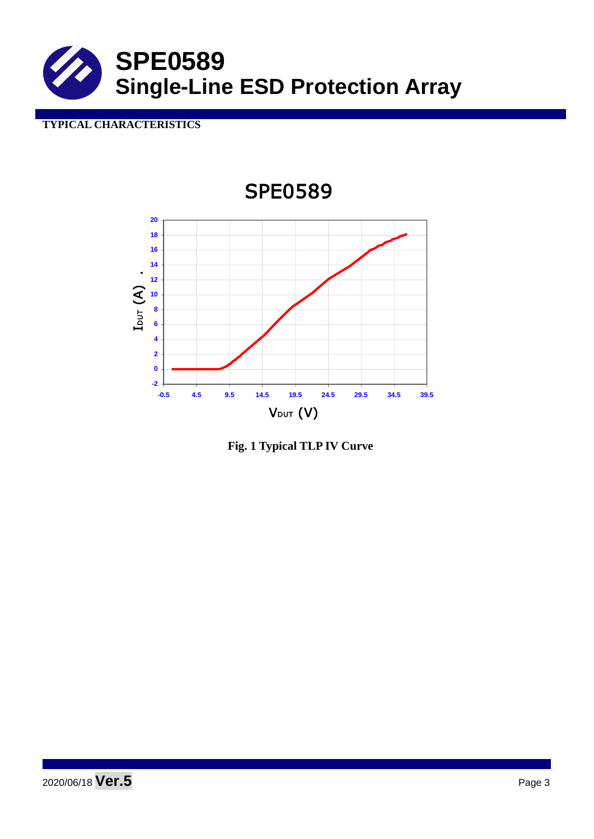

# **TYPICAL CHARACTERISTICS**



**Fig. 1 Typical TLP IV Curve**